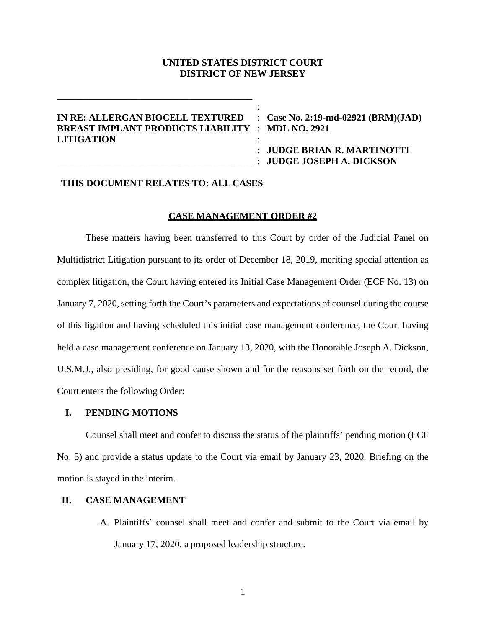### **UNITED STATES DISTRICT COURT DISTRICT OF NEW JERSEY**

:

## **IN RE: ALLERGAN BIOCELL TEXTURED** : **Case No. 2:19-md-02921 (BRM)(JAD) BREAST IMPLANT PRODUCTS LIABILITY** : **MDL NO. 2921 LITIGATION** :

\_\_\_\_\_\_\_\_\_\_\_\_\_\_\_\_\_\_\_\_\_\_\_\_\_\_\_\_\_\_\_\_\_\_\_\_\_\_\_\_\_

: **JUDGE BRIAN R. MARTINOTTI** \_\_\_\_\_\_\_\_\_\_\_\_\_\_\_\_\_\_\_\_\_\_\_\_\_\_\_\_\_\_\_\_\_\_\_\_\_\_\_\_\_ : **JUDGE JOSEPH A. DICKSON**

# **THIS DOCUMENT RELATES TO: ALL CASES**

### **CASE MANAGEMENT ORDER #2**

These matters having been transferred to this Court by order of the Judicial Panel on Multidistrict Litigation pursuant to its order of December 18, 2019, meriting special attention as complex litigation, the Court having entered its Initial Case Management Order (ECF No. 13) on January 7, 2020, setting forth the Court's parameters and expectations of counsel during the course of this ligation and having scheduled this initial case management conference, the Court having held a case management conference on January 13, 2020, with the Honorable Joseph A. Dickson, U.S.M.J., also presiding, for good cause shown and for the reasons set forth on the record, the Court enters the following Order:

#### **I. PENDING MOTIONS**

Counsel shall meet and confer to discuss the status of the plaintiffs' pending motion (ECF No. 5) and provide a status update to the Court via email by January 23, 2020. Briefing on the motion is stayed in the interim.

### **II. CASE MANAGEMENT**

A. Plaintiffs' counsel shall meet and confer and submit to the Court via email by January 17, 2020, a proposed leadership structure.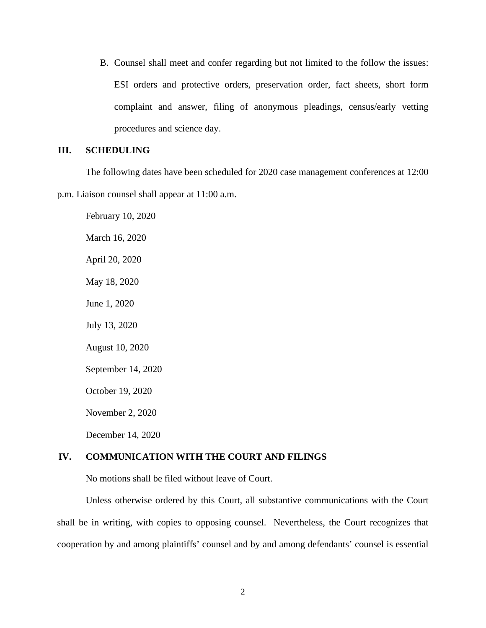B. Counsel shall meet and confer regarding but not limited to the follow the issues: ESI orders and protective orders, preservation order, fact sheets, short form complaint and answer, filing of anonymous pleadings, census/early vetting procedures and science day.

# **III. SCHEDULING**

The following dates have been scheduled for 2020 case management conferences at 12:00 p.m. Liaison counsel shall appear at 11:00 a.m.

February 10, 2020 March 16, 2020 April 20, 2020 May 18, 2020 June 1, 2020 July 13, 2020 August 10, 2020 September 14, 2020 October 19, 2020 November 2, 2020 December 14, 2020

## **IV. COMMUNICATION WITH THE COURT AND FILINGS**

No motions shall be filed without leave of Court.

Unless otherwise ordered by this Court, all substantive communications with the Court shall be in writing, with copies to opposing counsel. Nevertheless, the Court recognizes that cooperation by and among plaintiffs' counsel and by and among defendants' counsel is essential